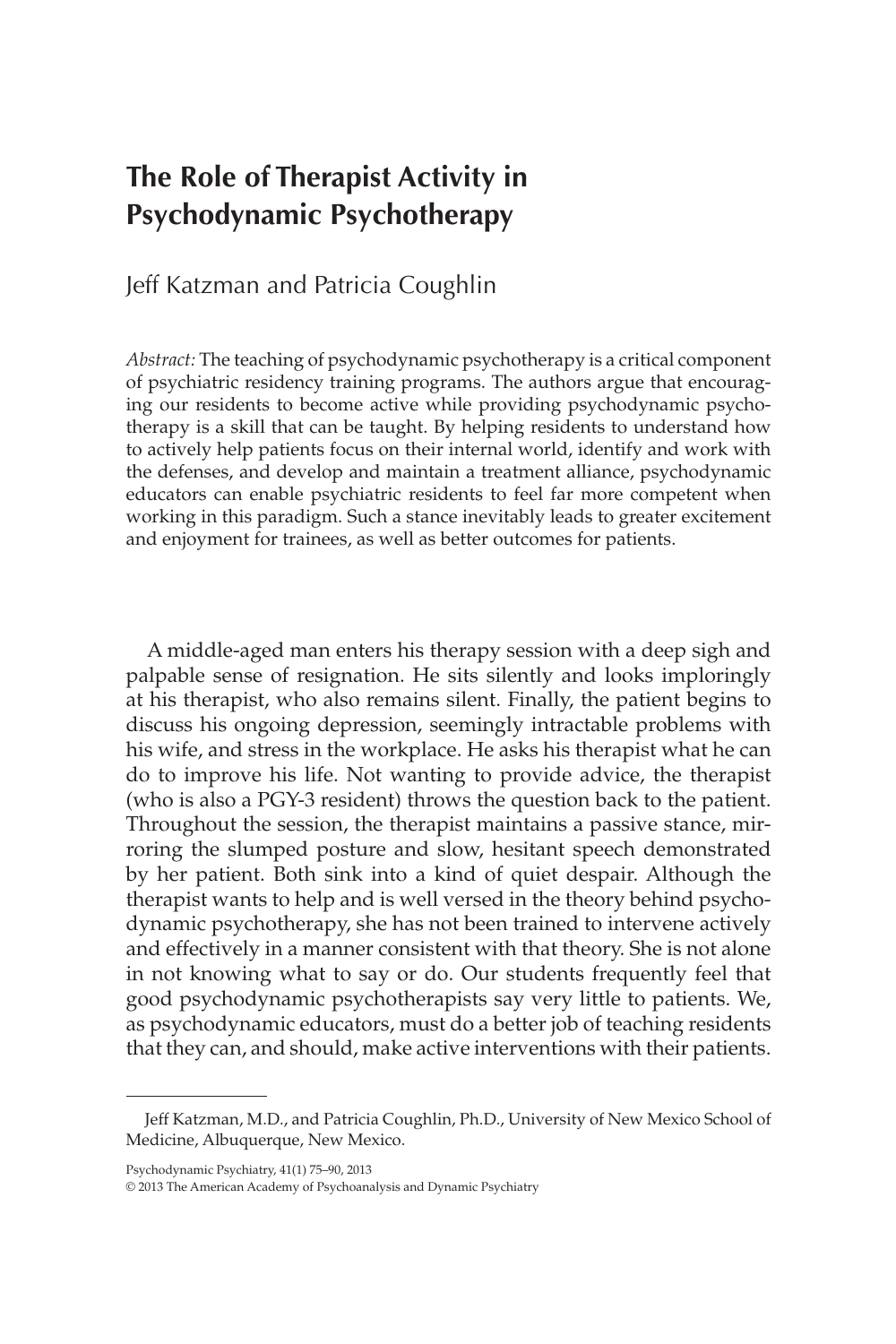# **The Role of Therapist Activity in Psychodynamic Psychotherapy**

# Jeff Katzman and Patricia Coughlin

*Abstract:* The teaching of psychodynamic psychotherapy is a critical component of psychiatric residency training programs. The authors argue that encouraging our residents to become active while providing psychodynamic psychotherapy is a skill that can be taught. By helping residents to understand how to actively help patients focus on their internal world, identify and work with the defenses, and develop and maintain a treatment alliance, psychodynamic educators can enable psychiatric residents to feel far more competent when working in this paradigm. Such a stance inevitably leads to greater excitement and enjoyment for trainees, as well as better outcomes for patients.

A middle-aged man enters his therapy session with a deep sigh and palpable sense of resignation. He sits silently and looks imploringly at his therapist, who also remains silent. Finally, the patient begins to discuss his ongoing depression, seemingly intractable problems with his wife, and stress in the workplace. He asks his therapist what he can do to improve his life. Not wanting to provide advice, the therapist (who is also a PGY-3 resident) throws the question back to the patient. Throughout the session, the therapist maintains a passive stance, mirroring the slumped posture and slow, hesitant speech demonstrated by her patient. Both sink into a kind of quiet despair. Although the therapist wants to help and is well versed in the theory behind psychodynamic psychotherapy, she has not been trained to intervene actively and effectively in a manner consistent with that theory. She is not alone in not knowing what to say or do. Our students frequently feel that good psychodynamic psychotherapists say very little to patients. We, as psychodynamic educators, must do a better job of teaching residents that they can, and should, make active interventions with their patients.

Psychodynamic Psychiatry, 41(1) 75–90, 2013

Jeff Katzman, M.D., and Patricia Coughlin, Ph.D., University of New Mexico School of Medicine, Albuquerque, New Mexico.

<sup>© 2013</sup> The American Academy of Psychoanalysis and Dynamic Psychiatry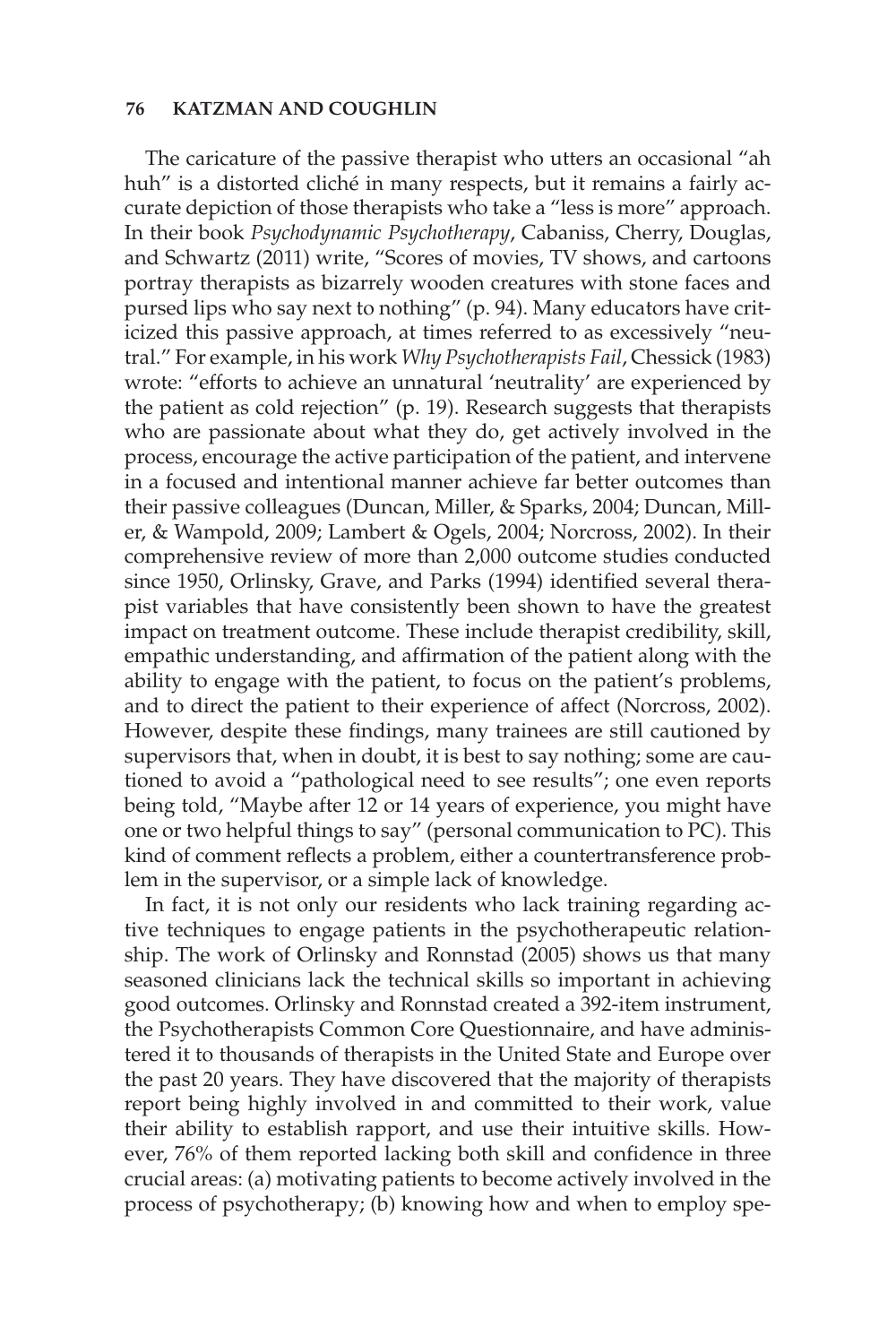The caricature of the passive therapist who utters an occasional "ah huh" is a distorted cliché in many respects, but it remains a fairly accurate depiction of those therapists who take a "less is more" approach. In their book *Psychodynamic Psychotherapy*, Cabaniss, Cherry, Douglas, and Schwartz (2011) write, "Scores of movies, TV shows, and cartoons portray therapists as bizarrely wooden creatures with stone faces and pursed lips who say next to nothing" (p. 94). Many educators have criticized this passive approach, at times referred to as excessively "neutral." For example, in his work *Why Psychotherapists Fail*, Chessick (1983) wrote: "efforts to achieve an unnatural 'neutrality' are experienced by the patient as cold rejection" (p. 19). Research suggests that therapists who are passionate about what they do, get actively involved in the process, encourage the active participation of the patient, and intervene in a focused and intentional manner achieve far better outcomes than their passive colleagues (Duncan, Miller, & Sparks, 2004; Duncan, Miller, & Wampold, 2009; Lambert & Ogels, 2004; Norcross, 2002). In their comprehensive review of more than 2,000 outcome studies conducted since 1950, Orlinsky, Grave, and Parks (1994) identified several therapist variables that have consistently been shown to have the greatest impact on treatment outcome. These include therapist credibility, skill, empathic understanding, and affirmation of the patient along with the ability to engage with the patient, to focus on the patient's problems, and to direct the patient to their experience of affect (Norcross, 2002). However, despite these findings, many trainees are still cautioned by supervisors that, when in doubt, it is best to say nothing; some are cautioned to avoid a "pathological need to see results"; one even reports being told, "Maybe after 12 or 14 years of experience, you might have one or two helpful things to say" (personal communication to PC). This kind of comment reflects a problem, either a countertransference problem in the supervisor, or a simple lack of knowledge.

In fact, it is not only our residents who lack training regarding active techniques to engage patients in the psychotherapeutic relationship. The work of Orlinsky and Ronnstad (2005) shows us that many seasoned clinicians lack the technical skills so important in achieving good outcomes. Orlinsky and Ronnstad created a 392-item instrument, the Psychotherapists Common Core Questionnaire, and have administered it to thousands of therapists in the United State and Europe over the past 20 years. They have discovered that the majority of therapists report being highly involved in and committed to their work, value their ability to establish rapport, and use their intuitive skills. However, 76% of them reported lacking both skill and confidence in three crucial areas: (a) motivating patients to become actively involved in the process of psychotherapy; (b) knowing how and when to employ spe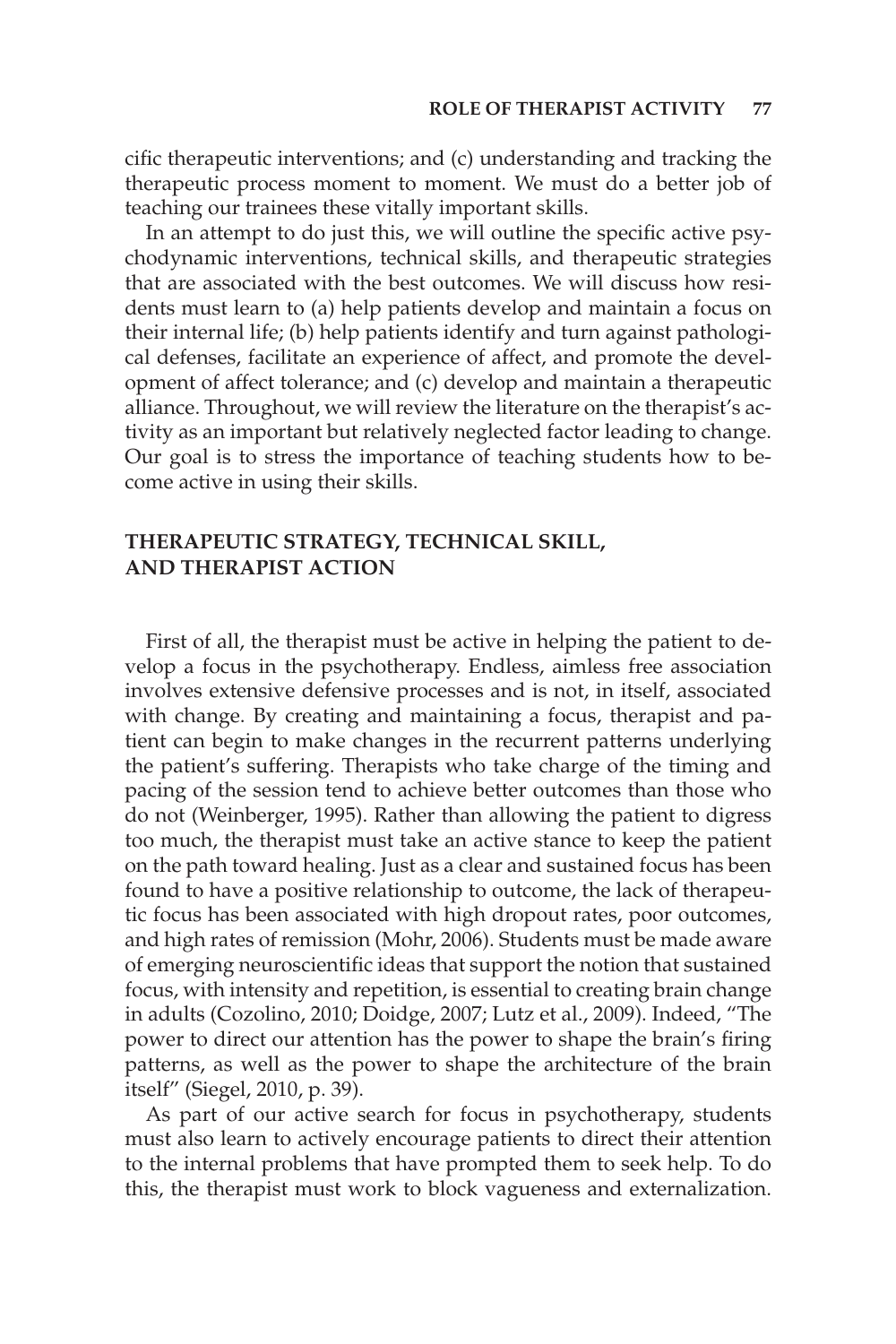cific therapeutic interventions; and (c) understanding and tracking the therapeutic process moment to moment. We must do a better job of teaching our trainees these vitally important skills.

In an attempt to do just this, we will outline the specific active psychodynamic interventions, technical skills, and therapeutic strategies that are associated with the best outcomes. We will discuss how residents must learn to (a) help patients develop and maintain a focus on their internal life; (b) help patients identify and turn against pathological defenses, facilitate an experience of affect, and promote the development of affect tolerance; and (c) develop and maintain a therapeutic alliance. Throughout, we will review the literature on the therapist's activity as an important but relatively neglected factor leading to change. Our goal is to stress the importance of teaching students how to become active in using their skills.

# **THERAPEUTIC STRATEGY, TECHNICAL SKILL, AND THERAPIST ACTION**

First of all, the therapist must be active in helping the patient to develop a focus in the psychotherapy. Endless, aimless free association involves extensive defensive processes and is not, in itself, associated with change. By creating and maintaining a focus, therapist and patient can begin to make changes in the recurrent patterns underlying the patient's suffering. Therapists who take charge of the timing and pacing of the session tend to achieve better outcomes than those who do not (Weinberger, 1995). Rather than allowing the patient to digress too much, the therapist must take an active stance to keep the patient on the path toward healing. Just as a clear and sustained focus has been found to have a positive relationship to outcome, the lack of therapeutic focus has been associated with high dropout rates, poor outcomes, and high rates of remission (Mohr, 2006). Students must be made aware of emerging neuroscientific ideas that support the notion that sustained focus, with intensity and repetition, is essential to creating brain change in adults (Cozolino, 2010; Doidge, 2007; Lutz et al., 2009). Indeed, "The power to direct our attention has the power to shape the brain's firing patterns, as well as the power to shape the architecture of the brain itself" (Siegel, 2010, p. 39).

As part of our active search for focus in psychotherapy, students must also learn to actively encourage patients to direct their attention to the internal problems that have prompted them to seek help. To do this, the therapist must work to block vagueness and externalization.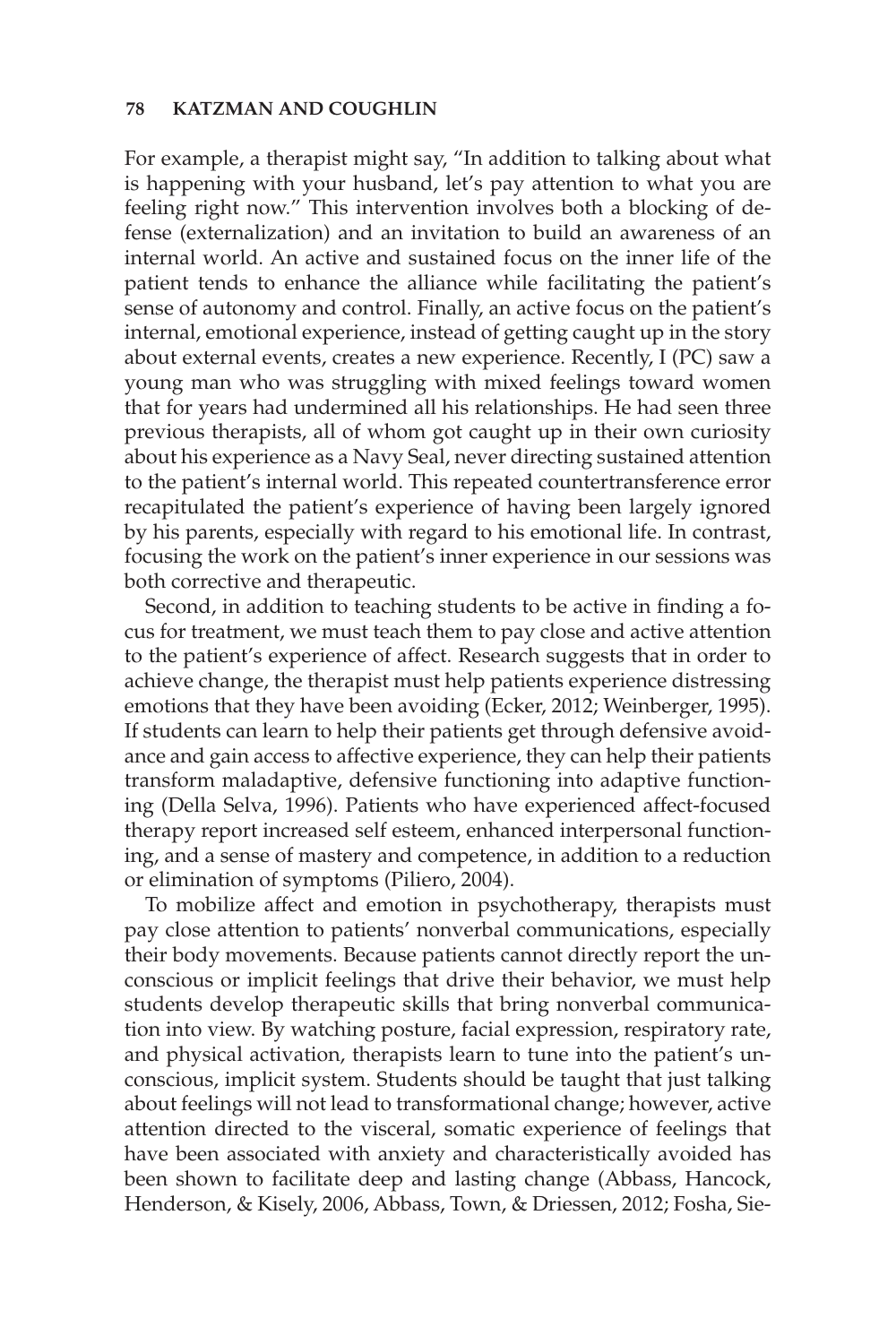For example, a therapist might say, "In addition to talking about what is happening with your husband, let's pay attention to what you are feeling right now." This intervention involves both a blocking of defense (externalization) and an invitation to build an awareness of an internal world. An active and sustained focus on the inner life of the patient tends to enhance the alliance while facilitating the patient's sense of autonomy and control. Finally, an active focus on the patient's internal, emotional experience, instead of getting caught up in the story about external events, creates a new experience. Recently, I (PC) saw a young man who was struggling with mixed feelings toward women that for years had undermined all his relationships. He had seen three previous therapists, all of whom got caught up in their own curiosity about his experience as a Navy Seal, never directing sustained attention to the patient's internal world. This repeated countertransference error recapitulated the patient's experience of having been largely ignored by his parents, especially with regard to his emotional life. In contrast, focusing the work on the patient's inner experience in our sessions was both corrective and therapeutic.

Second, in addition to teaching students to be active in finding a focus for treatment, we must teach them to pay close and active attention to the patient's experience of affect. Research suggests that in order to achieve change, the therapist must help patients experience distressing emotions that they have been avoiding (Ecker, 2012; Weinberger, 1995). If students can learn to help their patients get through defensive avoidance and gain access to affective experience, they can help their patients transform maladaptive, defensive functioning into adaptive functioning (Della Selva, 1996). Patients who have experienced affect-focused therapy report increased self esteem, enhanced interpersonal functioning, and a sense of mastery and competence, in addition to a reduction or elimination of symptoms (Piliero, 2004).

To mobilize affect and emotion in psychotherapy, therapists must pay close attention to patients' nonverbal communications, especially their body movements. Because patients cannot directly report the unconscious or implicit feelings that drive their behavior, we must help students develop therapeutic skills that bring nonverbal communication into view. By watching posture, facial expression, respiratory rate, and physical activation, therapists learn to tune into the patient's unconscious, implicit system. Students should be taught that just talking about feelings will not lead to transformational change; however, active attention directed to the visceral, somatic experience of feelings that have been associated with anxiety and characteristically avoided has been shown to facilitate deep and lasting change (Abbass, Hancock, Henderson, & Kisely, 2006, Abbass, Town, & Driessen, 2012; Fosha, Sie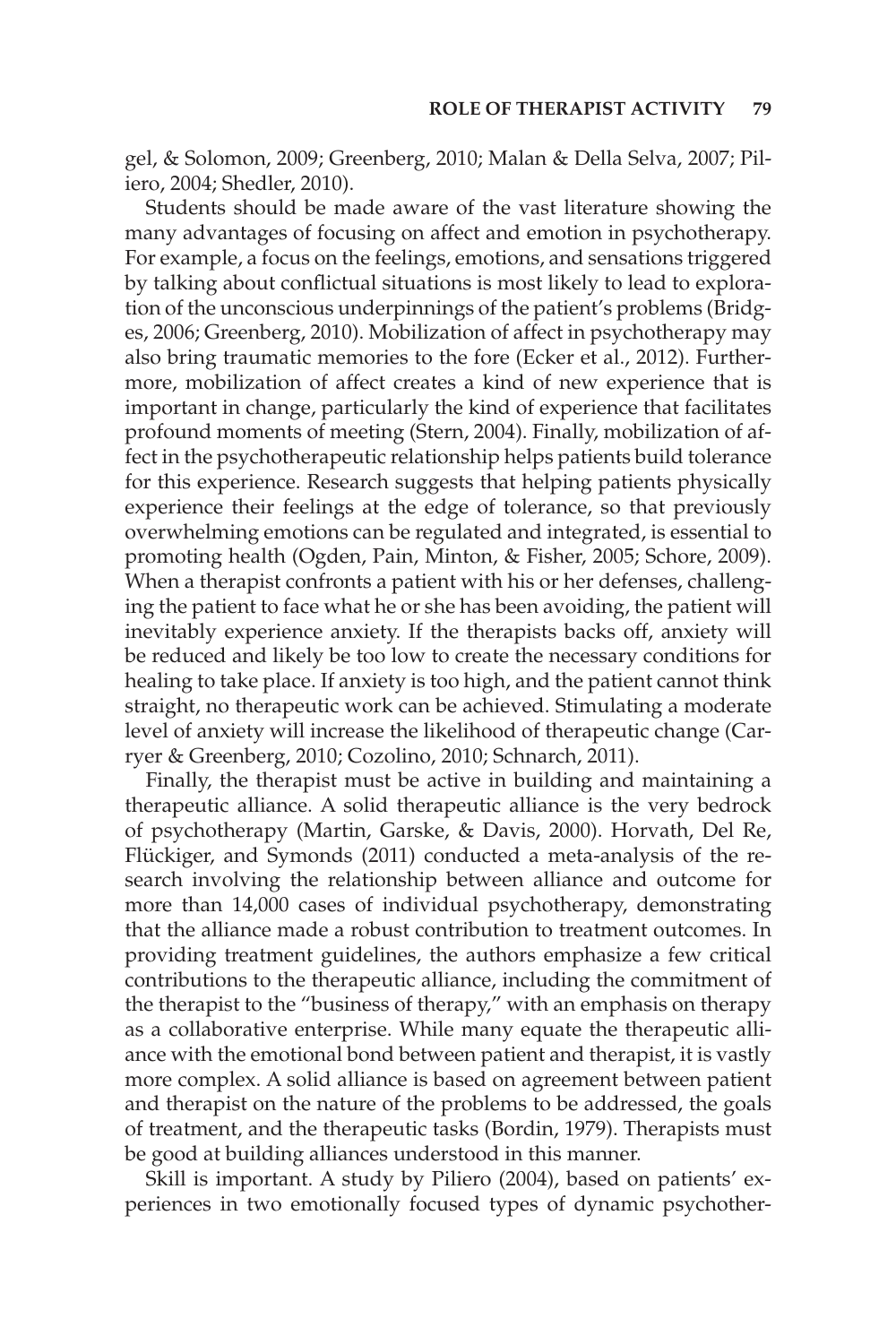gel, & Solomon, 2009; Greenberg, 2010; Malan & Della Selva, 2007; Piliero, 2004; Shedler, 2010).

Students should be made aware of the vast literature showing the many advantages of focusing on affect and emotion in psychotherapy. For example, a focus on the feelings, emotions, and sensations triggered by talking about conflictual situations is most likely to lead to exploration of the unconscious underpinnings of the patient's problems (Bridges, 2006; Greenberg, 2010). Mobilization of affect in psychotherapy may also bring traumatic memories to the fore (Ecker et al., 2012). Furthermore, mobilization of affect creates a kind of new experience that is important in change, particularly the kind of experience that facilitates profound moments of meeting (Stern, 2004). Finally, mobilization of affect in the psychotherapeutic relationship helps patients build tolerance for this experience. Research suggests that helping patients physically experience their feelings at the edge of tolerance, so that previously overwhelming emotions can be regulated and integrated, is essential to promoting health (Ogden, Pain, Minton, & Fisher, 2005; Schore, 2009). When a therapist confronts a patient with his or her defenses, challenging the patient to face what he or she has been avoiding, the patient will inevitably experience anxiety. If the therapists backs off, anxiety will be reduced and likely be too low to create the necessary conditions for healing to take place. If anxiety is too high, and the patient cannot think straight, no therapeutic work can be achieved. Stimulating a moderate level of anxiety will increase the likelihood of therapeutic change (Carryer & Greenberg, 2010; Cozolino, 2010; Schnarch, 2011).

Finally, the therapist must be active in building and maintaining a therapeutic alliance. A solid therapeutic alliance is the very bedrock of psychotherapy (Martin, Garske, & Davis, 2000). Horvath, Del Re, Flückiger, and Symonds (2011) conducted a meta-analysis of the research involving the relationship between alliance and outcome for more than 14,000 cases of individual psychotherapy, demonstrating that the alliance made a robust contribution to treatment outcomes. In providing treatment guidelines, the authors emphasize a few critical contributions to the therapeutic alliance, including the commitment of the therapist to the "business of therapy," with an emphasis on therapy as a collaborative enterprise. While many equate the therapeutic alliance with the emotional bond between patient and therapist, it is vastly more complex. A solid alliance is based on agreement between patient and therapist on the nature of the problems to be addressed, the goals of treatment, and the therapeutic tasks (Bordin, 1979). Therapists must be good at building alliances understood in this manner.

Skill is important. A study by Piliero (2004), based on patients' experiences in two emotionally focused types of dynamic psychother-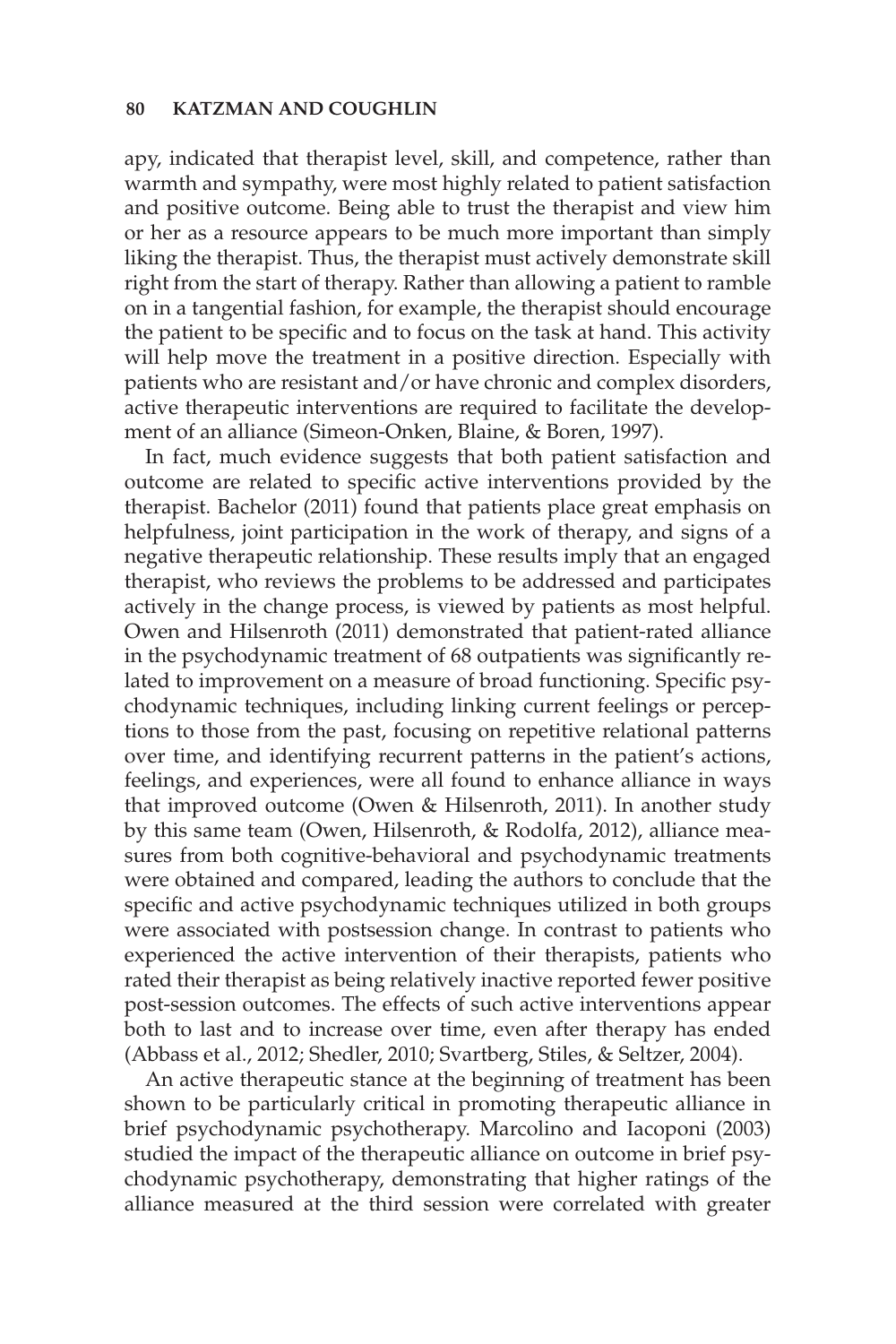apy, indicated that therapist level, skill, and competence, rather than warmth and sympathy, were most highly related to patient satisfaction and positive outcome. Being able to trust the therapist and view him or her as a resource appears to be much more important than simply liking the therapist. Thus, the therapist must actively demonstrate skill right from the start of therapy. Rather than allowing a patient to ramble on in a tangential fashion, for example, the therapist should encourage the patient to be specific and to focus on the task at hand. This activity will help move the treatment in a positive direction. Especially with patients who are resistant and/or have chronic and complex disorders, active therapeutic interventions are required to facilitate the development of an alliance (Simeon-Onken, Blaine, & Boren, 1997).

In fact, much evidence suggests that both patient satisfaction and outcome are related to specific active interventions provided by the therapist. Bachelor (2011) found that patients place great emphasis on helpfulness, joint participation in the work of therapy, and signs of a negative therapeutic relationship. These results imply that an engaged therapist, who reviews the problems to be addressed and participates actively in the change process, is viewed by patients as most helpful. Owen and Hilsenroth (2011) demonstrated that patient-rated alliance in the psychodynamic treatment of 68 outpatients was significantly related to improvement on a measure of broad functioning. Specific psychodynamic techniques, including linking current feelings or perceptions to those from the past, focusing on repetitive relational patterns over time, and identifying recurrent patterns in the patient's actions, feelings, and experiences, were all found to enhance alliance in ways that improved outcome (Owen & Hilsenroth, 2011). In another study by this same team (Owen, Hilsenroth, & Rodolfa, 2012), alliance measures from both cognitive-behavioral and psychodynamic treatments were obtained and compared, leading the authors to conclude that the specific and active psychodynamic techniques utilized in both groups were associated with postsession change. In contrast to patients who experienced the active intervention of their therapists, patients who rated their therapist as being relatively inactive reported fewer positive post-session outcomes. The effects of such active interventions appear both to last and to increase over time, even after therapy has ended (Abbass et al., 2012; Shedler, 2010; Svartberg, Stiles, & Seltzer, 2004).

An active therapeutic stance at the beginning of treatment has been shown to be particularly critical in promoting therapeutic alliance in brief psychodynamic psychotherapy. Marcolino and Iacoponi (2003) studied the impact of the therapeutic alliance on outcome in brief psychodynamic psychotherapy, demonstrating that higher ratings of the alliance measured at the third session were correlated with greater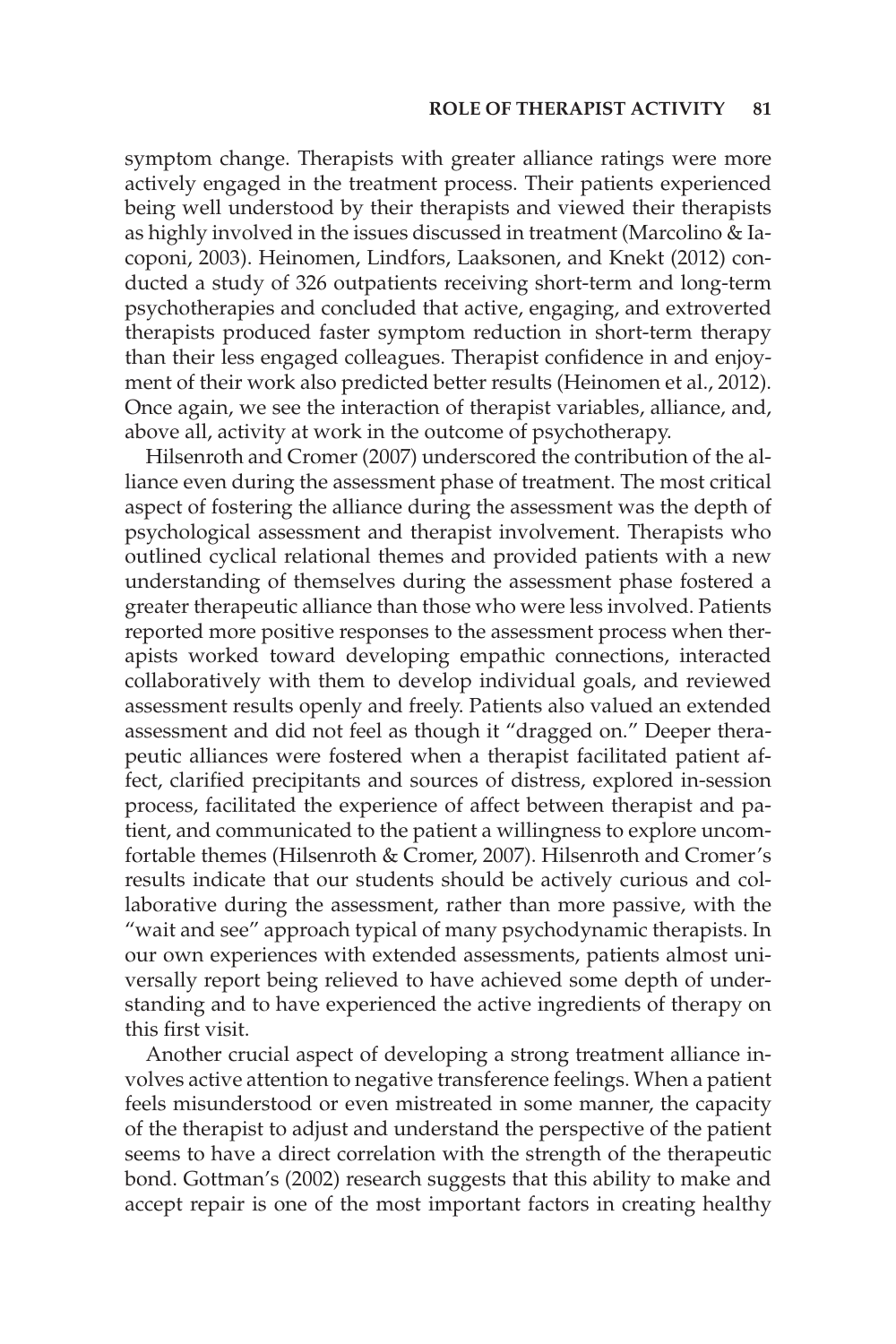symptom change. Therapists with greater alliance ratings were more actively engaged in the treatment process. Their patients experienced being well understood by their therapists and viewed their therapists as highly involved in the issues discussed in treatment (Marcolino & Iacoponi, 2003). Heinomen, Lindfors, Laaksonen, and Knekt (2012) conducted a study of 326 outpatients receiving short-term and long-term psychotherapies and concluded that active, engaging, and extroverted therapists produced faster symptom reduction in short-term therapy than their less engaged colleagues. Therapist confidence in and enjoyment of their work also predicted better results (Heinomen et al., 2012). Once again, we see the interaction of therapist variables, alliance, and, above all, activity at work in the outcome of psychotherapy.

Hilsenroth and Cromer (2007) underscored the contribution of the alliance even during the assessment phase of treatment. The most critical aspect of fostering the alliance during the assessment was the depth of psychological assessment and therapist involvement. Therapists who outlined cyclical relational themes and provided patients with a new understanding of themselves during the assessment phase fostered a greater therapeutic alliance than those who were less involved. Patients reported more positive responses to the assessment process when therapists worked toward developing empathic connections, interacted collaboratively with them to develop individual goals, and reviewed assessment results openly and freely. Patients also valued an extended assessment and did not feel as though it "dragged on." Deeper therapeutic alliances were fostered when a therapist facilitated patient affect, clarified precipitants and sources of distress, explored in-session process, facilitated the experience of affect between therapist and patient, and communicated to the patient a willingness to explore uncomfortable themes (Hilsenroth & Cromer, 2007). Hilsenroth and Cromer's results indicate that our students should be actively curious and collaborative during the assessment, rather than more passive, with the "wait and see" approach typical of many psychodynamic therapists. In our own experiences with extended assessments, patients almost universally report being relieved to have achieved some depth of understanding and to have experienced the active ingredients of therapy on this first visit.

Another crucial aspect of developing a strong treatment alliance involves active attention to negative transference feelings. When a patient feels misunderstood or even mistreated in some manner, the capacity of the therapist to adjust and understand the perspective of the patient seems to have a direct correlation with the strength of the therapeutic bond. Gottman's (2002) research suggests that this ability to make and accept repair is one of the most important factors in creating healthy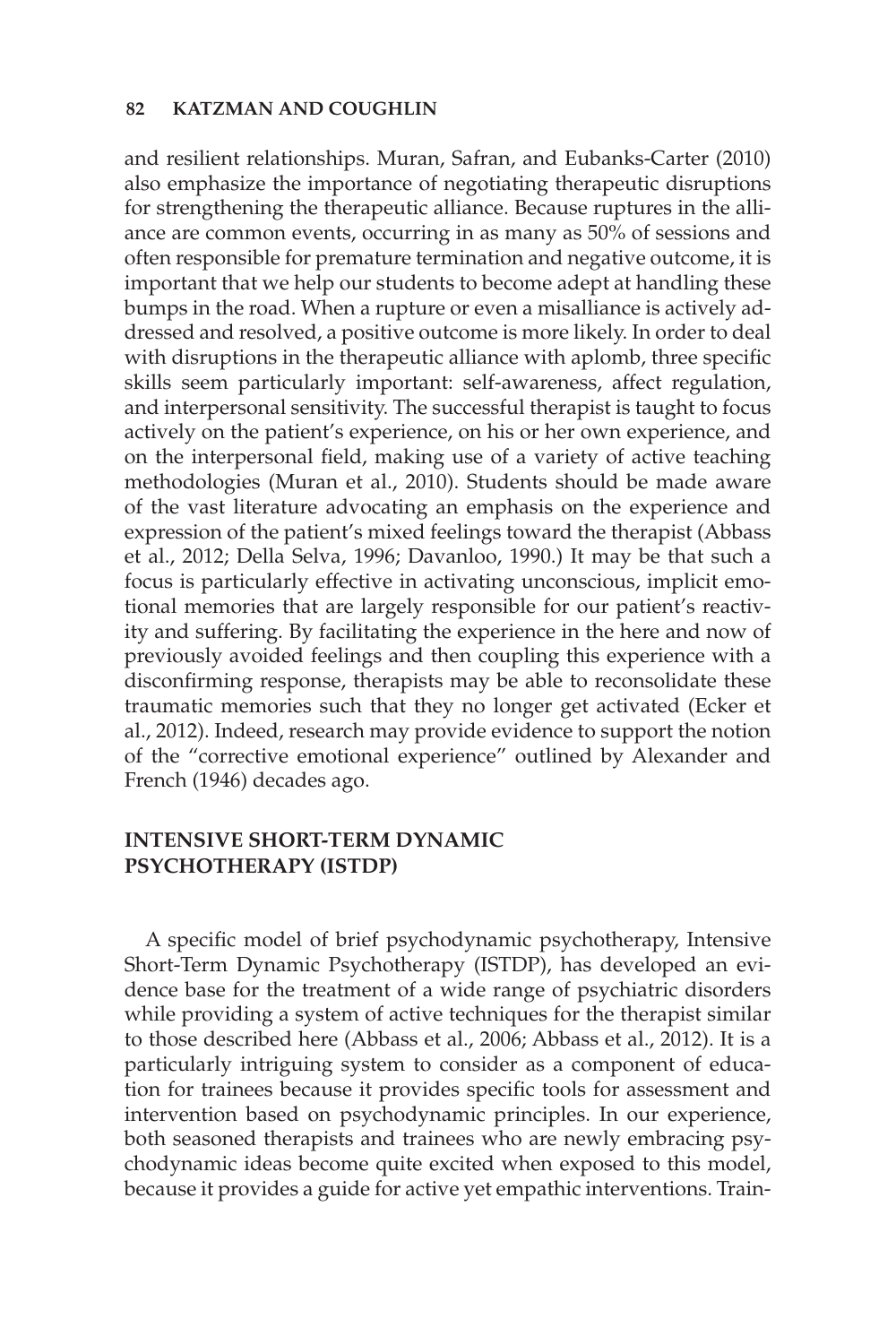and resilient relationships. Muran, Safran, and Eubanks-Carter (2010) also emphasize the importance of negotiating therapeutic disruptions for strengthening the therapeutic alliance. Because ruptures in the alliance are common events, occurring in as many as 50% of sessions and often responsible for premature termination and negative outcome, it is important that we help our students to become adept at handling these bumps in the road. When a rupture or even a misalliance is actively addressed and resolved, a positive outcome is more likely. In order to deal with disruptions in the therapeutic alliance with aplomb, three specific skills seem particularly important: self-awareness, affect regulation, and interpersonal sensitivity. The successful therapist is taught to focus actively on the patient's experience, on his or her own experience, and on the interpersonal field, making use of a variety of active teaching methodologies (Muran et al., 2010). Students should be made aware of the vast literature advocating an emphasis on the experience and expression of the patient's mixed feelings toward the therapist (Abbass et al., 2012; Della Selva, 1996; Davanloo, 1990.) It may be that such a focus is particularly effective in activating unconscious, implicit emotional memories that are largely responsible for our patient's reactivity and suffering. By facilitating the experience in the here and now of previously avoided feelings and then coupling this experience with a disconfirming response, therapists may be able to reconsolidate these traumatic memories such that they no longer get activated (Ecker et al., 2012). Indeed, research may provide evidence to support the notion of the "corrective emotional experience" outlined by Alexander and French (1946) decades ago.

# **INTENSIVE SHORT-TERM DYNAMIC PSYCHOTHERAPY (ISTDP)**

A specific model of brief psychodynamic psychotherapy, Intensive Short-Term Dynamic Psychotherapy (ISTDP), has developed an evidence base for the treatment of a wide range of psychiatric disorders while providing a system of active techniques for the therapist similar to those described here (Abbass et al., 2006; Abbass et al., 2012). It is a particularly intriguing system to consider as a component of education for trainees because it provides specific tools for assessment and intervention based on psychodynamic principles. In our experience, both seasoned therapists and trainees who are newly embracing psychodynamic ideas become quite excited when exposed to this model, because it provides a guide for active yet empathic interventions. Train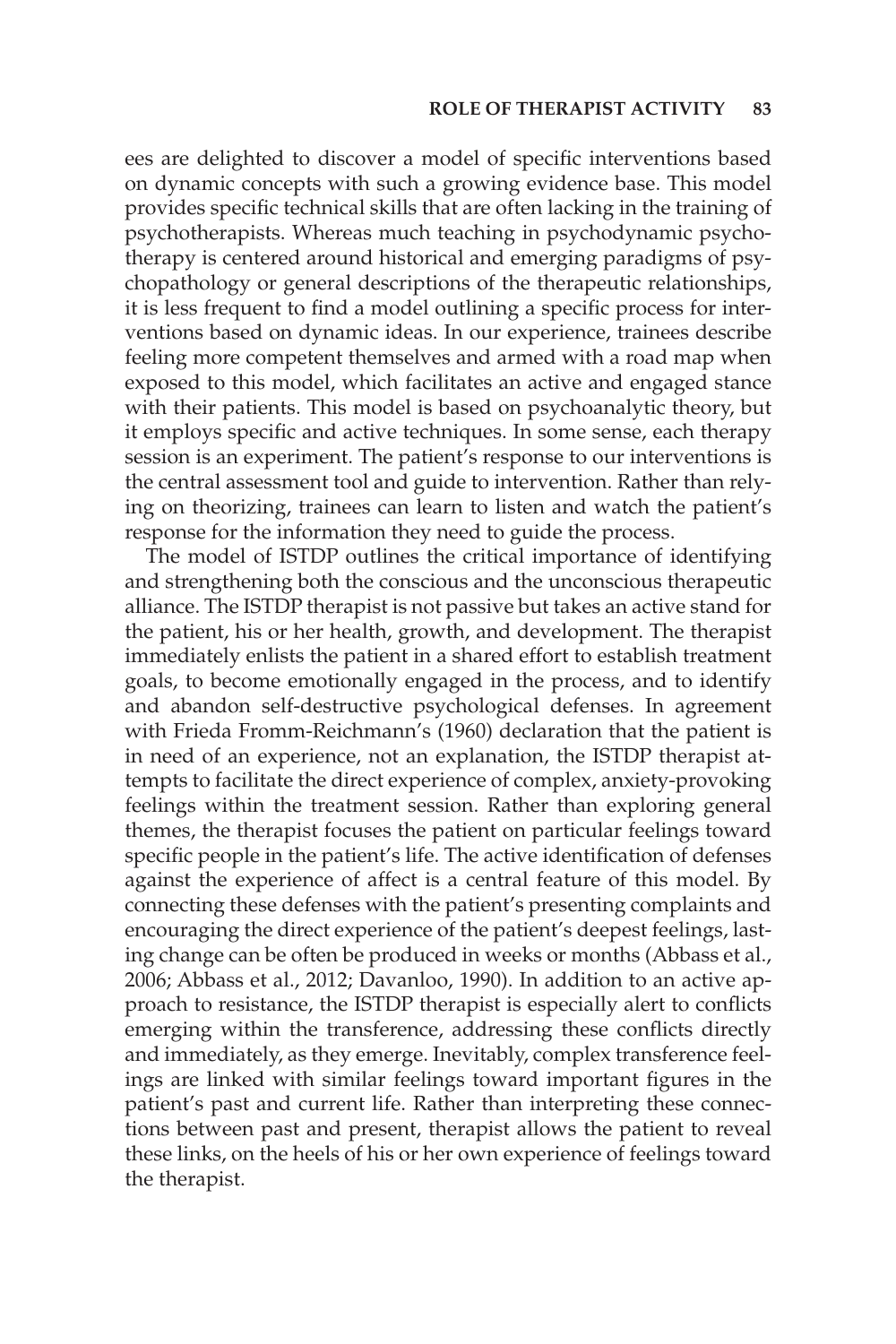ees are delighted to discover a model of specific interventions based on dynamic concepts with such a growing evidence base. This model provides specific technical skills that are often lacking in the training of psychotherapists. Whereas much teaching in psychodynamic psychotherapy is centered around historical and emerging paradigms of psychopathology or general descriptions of the therapeutic relationships, it is less frequent to find a model outlining a specific process for interventions based on dynamic ideas. In our experience, trainees describe feeling more competent themselves and armed with a road map when exposed to this model, which facilitates an active and engaged stance with their patients. This model is based on psychoanalytic theory, but it employs specific and active techniques. In some sense, each therapy session is an experiment. The patient's response to our interventions is the central assessment tool and guide to intervention. Rather than relying on theorizing, trainees can learn to listen and watch the patient's response for the information they need to guide the process.

The model of ISTDP outlines the critical importance of identifying and strengthening both the conscious and the unconscious therapeutic alliance. The ISTDP therapist is not passive but takes an active stand for the patient, his or her health, growth, and development. The therapist immediately enlists the patient in a shared effort to establish treatment goals, to become emotionally engaged in the process, and to identify and abandon self-destructive psychological defenses. In agreement with Frieda Fromm-Reichmann's (1960) declaration that the patient is in need of an experience, not an explanation, the ISTDP therapist attempts to facilitate the direct experience of complex, anxiety-provoking feelings within the treatment session. Rather than exploring general themes, the therapist focuses the patient on particular feelings toward specific people in the patient's life. The active identification of defenses against the experience of affect is a central feature of this model. By connecting these defenses with the patient's presenting complaints and encouraging the direct experience of the patient's deepest feelings, lasting change can be often be produced in weeks or months (Abbass et al., 2006; Abbass et al., 2012; Davanloo, 1990). In addition to an active approach to resistance, the ISTDP therapist is especially alert to conflicts emerging within the transference, addressing these conflicts directly and immediately, as they emerge. Inevitably, complex transference feelings are linked with similar feelings toward important figures in the patient's past and current life. Rather than interpreting these connections between past and present, therapist allows the patient to reveal these links, on the heels of his or her own experience of feelings toward the therapist.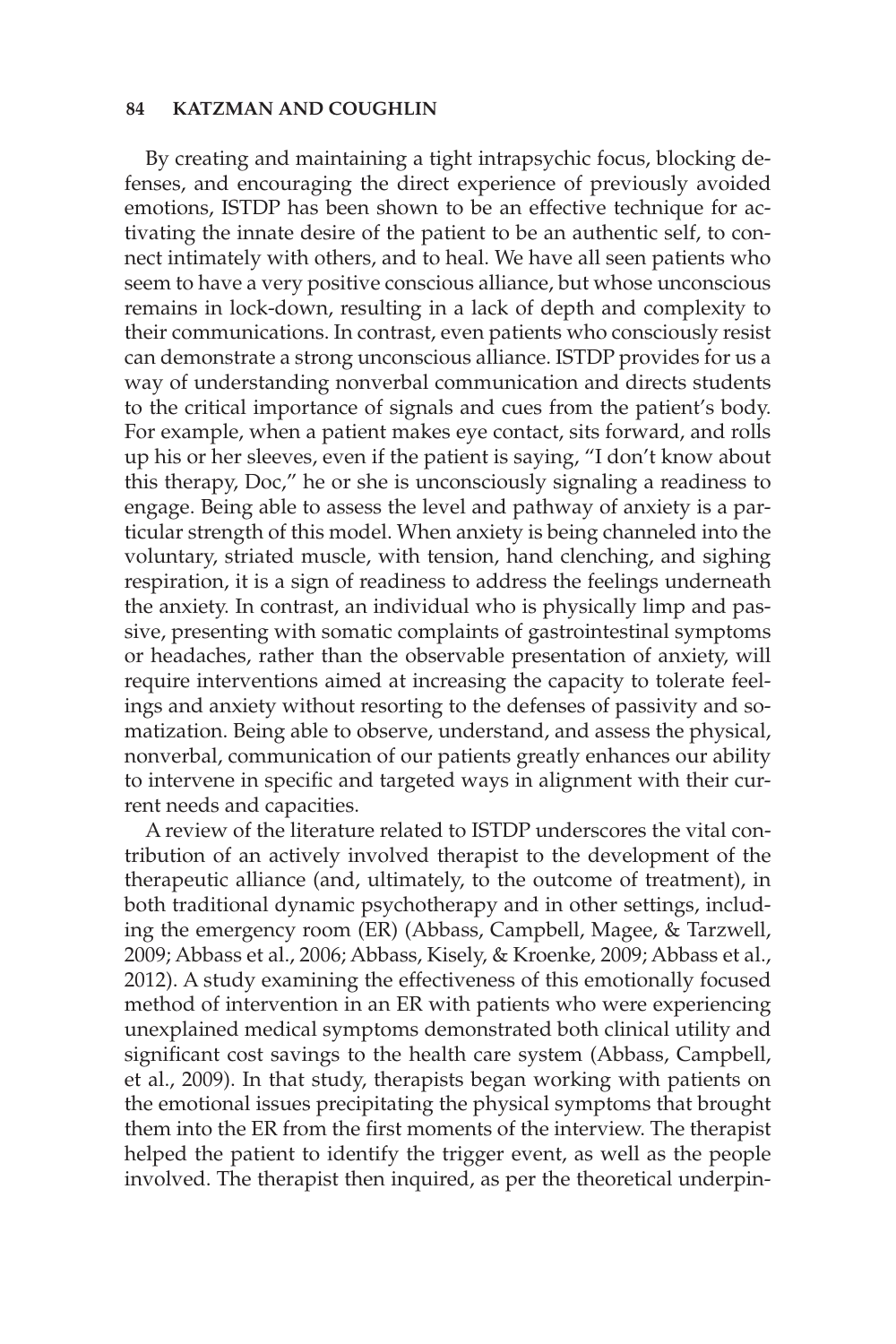By creating and maintaining a tight intrapsychic focus, blocking defenses, and encouraging the direct experience of previously avoided emotions, ISTDP has been shown to be an effective technique for activating the innate desire of the patient to be an authentic self, to connect intimately with others, and to heal. We have all seen patients who seem to have a very positive conscious alliance, but whose unconscious remains in lock-down, resulting in a lack of depth and complexity to their communications. In contrast, even patients who consciously resist can demonstrate a strong unconscious alliance. ISTDP provides for us a way of understanding nonverbal communication and directs students to the critical importance of signals and cues from the patient's body. For example, when a patient makes eye contact, sits forward, and rolls up his or her sleeves, even if the patient is saying, "I don't know about this therapy, Doc," he or she is unconsciously signaling a readiness to engage. Being able to assess the level and pathway of anxiety is a particular strength of this model. When anxiety is being channeled into the voluntary, striated muscle, with tension, hand clenching, and sighing respiration, it is a sign of readiness to address the feelings underneath the anxiety. In contrast, an individual who is physically limp and passive, presenting with somatic complaints of gastrointestinal symptoms or headaches, rather than the observable presentation of anxiety, will require interventions aimed at increasing the capacity to tolerate feelings and anxiety without resorting to the defenses of passivity and somatization. Being able to observe, understand, and assess the physical, nonverbal, communication of our patients greatly enhances our ability to intervene in specific and targeted ways in alignment with their current needs and capacities.

A review of the literature related to ISTDP underscores the vital contribution of an actively involved therapist to the development of the therapeutic alliance (and, ultimately, to the outcome of treatment), in both traditional dynamic psychotherapy and in other settings, including the emergency room (ER) (Abbass, Campbell, Magee, & Tarzwell, 2009; Abbass et al., 2006; Abbass, Kisely, & Kroenke, 2009; Abbass et al., 2012). A study examining the effectiveness of this emotionally focused method of intervention in an ER with patients who were experiencing unexplained medical symptoms demonstrated both clinical utility and significant cost savings to the health care system (Abbass, Campbell, et al., 2009). In that study, therapists began working with patients on the emotional issues precipitating the physical symptoms that brought them into the ER from the first moments of the interview. The therapist helped the patient to identify the trigger event, as well as the people involved. The therapist then inquired, as per the theoretical underpin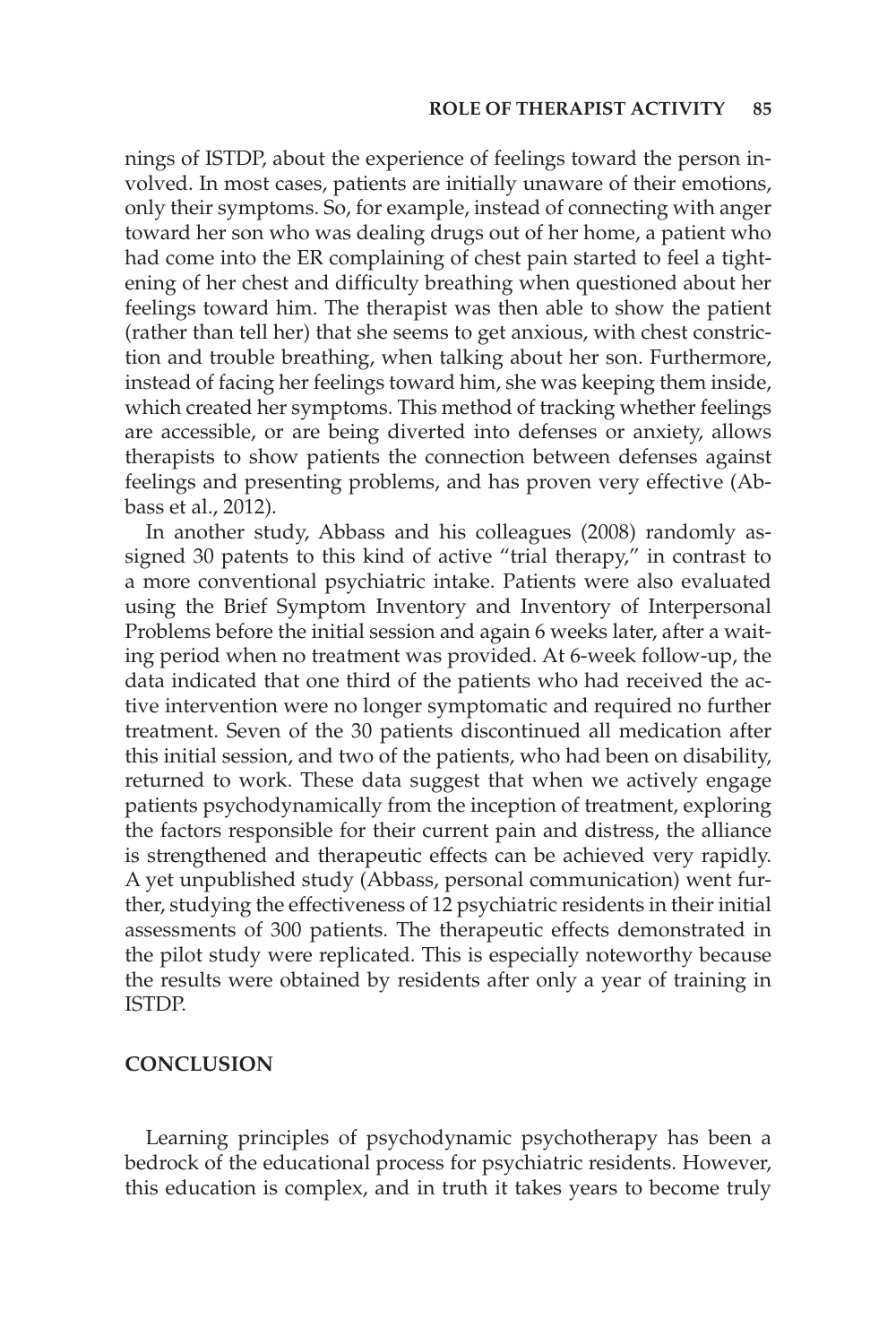nings of ISTDP, about the experience of feelings toward the person involved. In most cases, patients are initially unaware of their emotions, only their symptoms. So, for example, instead of connecting with anger toward her son who was dealing drugs out of her home, a patient who had come into the ER complaining of chest pain started to feel a tightening of her chest and difficulty breathing when questioned about her feelings toward him. The therapist was then able to show the patient (rather than tell her) that she seems to get anxious, with chest constriction and trouble breathing, when talking about her son. Furthermore, instead of facing her feelings toward him, she was keeping them inside, which created her symptoms. This method of tracking whether feelings are accessible, or are being diverted into defenses or anxiety, allows therapists to show patients the connection between defenses against feelings and presenting problems, and has proven very effective (Abbass et al., 2012).

In another study, Abbass and his colleagues (2008) randomly assigned 30 patents to this kind of active "trial therapy," in contrast to a more conventional psychiatric intake. Patients were also evaluated using the Brief Symptom Inventory and Inventory of Interpersonal Problems before the initial session and again 6 weeks later, after a waiting period when no treatment was provided. At 6-week follow-up, the data indicated that one third of the patients who had received the active intervention were no longer symptomatic and required no further treatment. Seven of the 30 patients discontinued all medication after this initial session, and two of the patients, who had been on disability, returned to work. These data suggest that when we actively engage patients psychodynamically from the inception of treatment, exploring the factors responsible for their current pain and distress, the alliance is strengthened and therapeutic effects can be achieved very rapidly. A yet unpublished study (Abbass, personal communication) went further, studying the effectiveness of 12 psychiatric residents in their initial assessments of 300 patients. The therapeutic effects demonstrated in the pilot study were replicated. This is especially noteworthy because the results were obtained by residents after only a year of training in ISTDP.

# **CONCLUSION**

Learning principles of psychodynamic psychotherapy has been a bedrock of the educational process for psychiatric residents. However, this education is complex, and in truth it takes years to become truly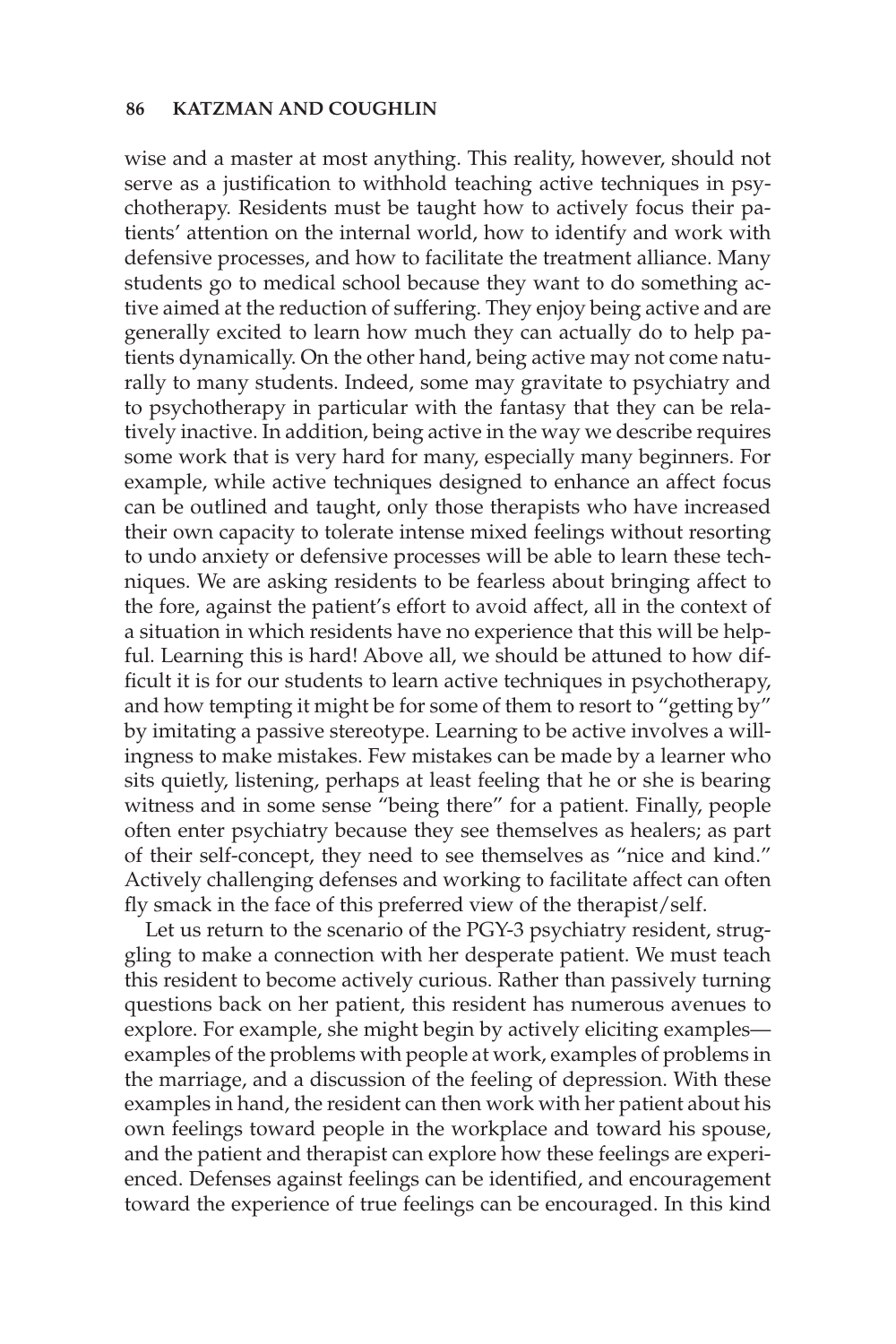wise and a master at most anything. This reality, however, should not serve as a justification to withhold teaching active techniques in psychotherapy. Residents must be taught how to actively focus their patients' attention on the internal world, how to identify and work with defensive processes, and how to facilitate the treatment alliance. Many students go to medical school because they want to do something active aimed at the reduction of suffering. They enjoy being active and are generally excited to learn how much they can actually do to help patients dynamically. On the other hand, being active may not come naturally to many students. Indeed, some may gravitate to psychiatry and to psychotherapy in particular with the fantasy that they can be relatively inactive. In addition, being active in the way we describe requires some work that is very hard for many, especially many beginners. For example, while active techniques designed to enhance an affect focus can be outlined and taught, only those therapists who have increased their own capacity to tolerate intense mixed feelings without resorting to undo anxiety or defensive processes will be able to learn these techniques. We are asking residents to be fearless about bringing affect to the fore, against the patient's effort to avoid affect, all in the context of a situation in which residents have no experience that this will be helpful. Learning this is hard! Above all, we should be attuned to how difficult it is for our students to learn active techniques in psychotherapy, and how tempting it might be for some of them to resort to "getting by" by imitating a passive stereotype. Learning to be active involves a willingness to make mistakes. Few mistakes can be made by a learner who sits quietly, listening, perhaps at least feeling that he or she is bearing witness and in some sense "being there" for a patient. Finally, people often enter psychiatry because they see themselves as healers; as part of their self-concept, they need to see themselves as "nice and kind." Actively challenging defenses and working to facilitate affect can often fly smack in the face of this preferred view of the therapist/self.

Let us return to the scenario of the PGY-3 psychiatry resident, struggling to make a connection with her desperate patient. We must teach this resident to become actively curious. Rather than passively turning questions back on her patient, this resident has numerous avenues to explore. For example, she might begin by actively eliciting examples examples of the problems with people at work, examples of problems in the marriage, and a discussion of the feeling of depression. With these examples in hand, the resident can then work with her patient about his own feelings toward people in the workplace and toward his spouse, and the patient and therapist can explore how these feelings are experienced. Defenses against feelings can be identified, and encouragement toward the experience of true feelings can be encouraged. In this kind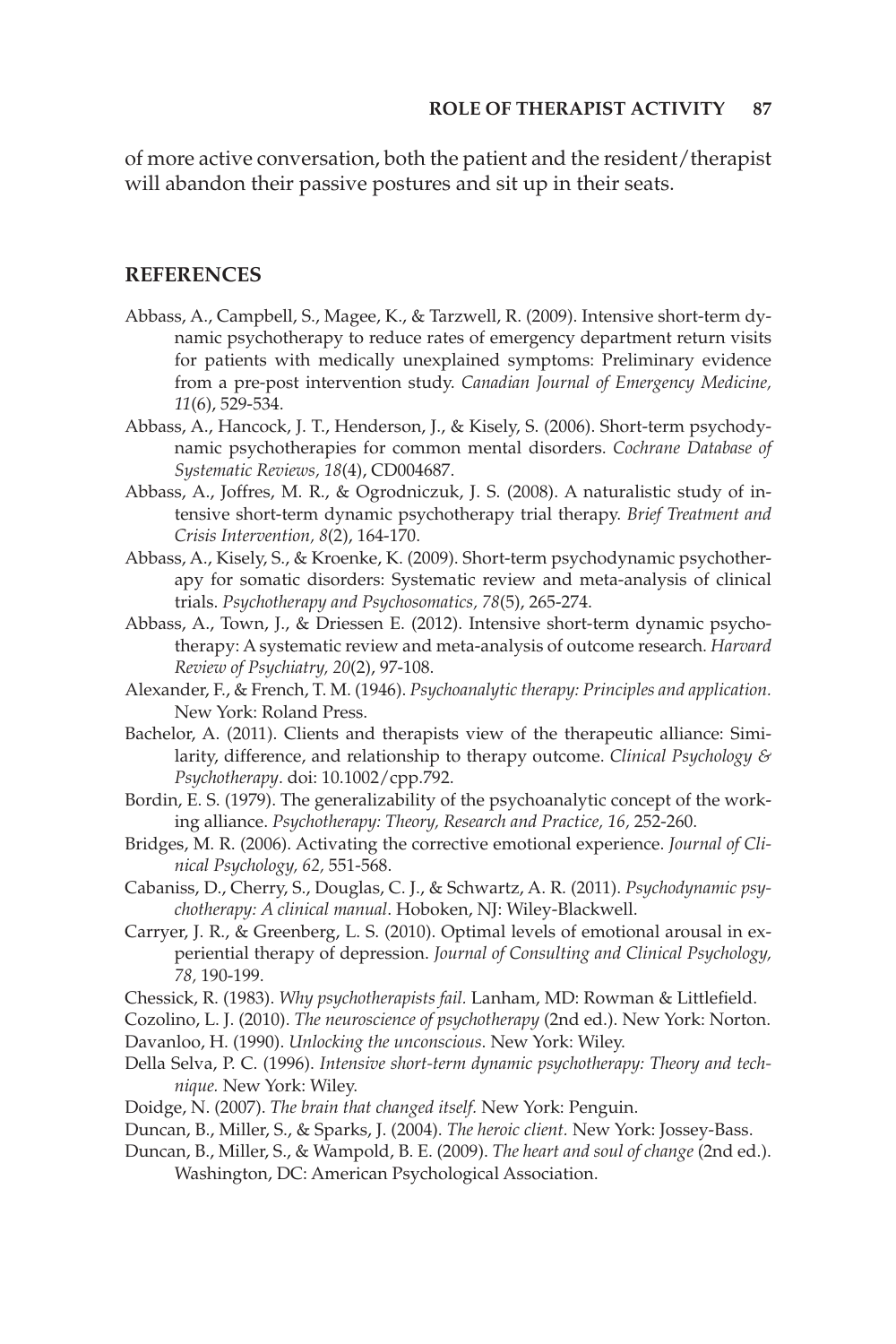of more active conversation, both the patient and the resident/therapist will abandon their passive postures and sit up in their seats.

## **REFERENCES**

- Abbass, A., Campbell, S., Magee, K., & Tarzwell, R. (2009). Intensive short-term dynamic psychotherapy to reduce rates of emergency department return visits for patients with medically unexplained symptoms: Preliminary evidence from a pre-post intervention study. *Canadian Journal of Emergency Medicine, 11*(6), 529-534.
- Abbass, A., Hancock, J. T., Henderson, J., & Kisely, S. (2006). Short-term psychodynamic psychotherapies for common mental disorders. *Cochrane Database of Systematic Reviews, 18*(4), CD004687.
- Abbass, A., Joffres, M. R., & Ogrodniczuk, J. S. (2008). A naturalistic study of intensive short-term dynamic psychotherapy trial therapy. *Brief Treatment and Crisis Intervention, 8*(2), 164-170.
- Abbass, A., Kisely, S., & Kroenke, K. (2009). Short-term psychodynamic psychotherapy for somatic disorders: Systematic review and meta-analysis of clinical trials. *Psychotherapy and Psychosomatics, 78*(5), 265-274.
- Abbass, A., Town, J., & Driessen E. (2012). Intensive short-term dynamic psychotherapy: A systematic review and meta-analysis of outcome research. *Harvard Review of Psychiatry, 20*(2), 97-108.
- Alexander, F., & French, T. M. (1946). *Psychoanalytic therapy: Principles and application.* New York: Roland Press.
- Bachelor, A. (2011). Clients and therapists view of the therapeutic alliance: Similarity, difference, and relationship to therapy outcome. *Clinical Psychology & Psychotherapy*. doi: 10.1002/cpp.792.
- Bordin, E. S. (1979). The generalizability of the psychoanalytic concept of the working alliance. *Psychotherapy: Theory, Research and Practice, 16,* 252-260.
- Bridges, M. R. (2006). Activating the corrective emotional experience. *Journal of Clinical Psychology, 62,* 551-568.
- Cabaniss, D., Cherry, S., Douglas, C. J., & Schwartz, A. R. (2011). *Psychodynamic psychotherapy: A clinical manual*. Hoboken, NJ: Wiley-Blackwell.
- Carryer, J. R., & Greenberg, L. S. (2010). Optimal levels of emotional arousal in experiential therapy of depression. *Journal of Consulting and Clinical Psychology, 78,* 190-199.
- Chessick, R. (1983). *Why psychotherapists fail.* Lanham, MD: Rowman & Littlefield.
- Cozolino, L. J. (2010). *The neuroscience of psychotherapy* (2nd ed.). New York: Norton.
- Davanloo, H. (1990). *Unlocking the unconscious*. New York: Wiley.
- Della Selva, P. C. (1996). *Intensive short-term dynamic psychotherapy: Theory and technique.* New York: Wiley.
- Doidge, N. (2007). *The brain that changed itself.* New York: Penguin.
- Duncan, B., Miller, S., & Sparks, J. (2004). *The heroic client.* New York: Jossey-Bass.
- Duncan, B., Miller, S., & Wampold, B. E. (2009). *The heart and soul of change* (2nd ed.). Washington, DC: American Psychological Association.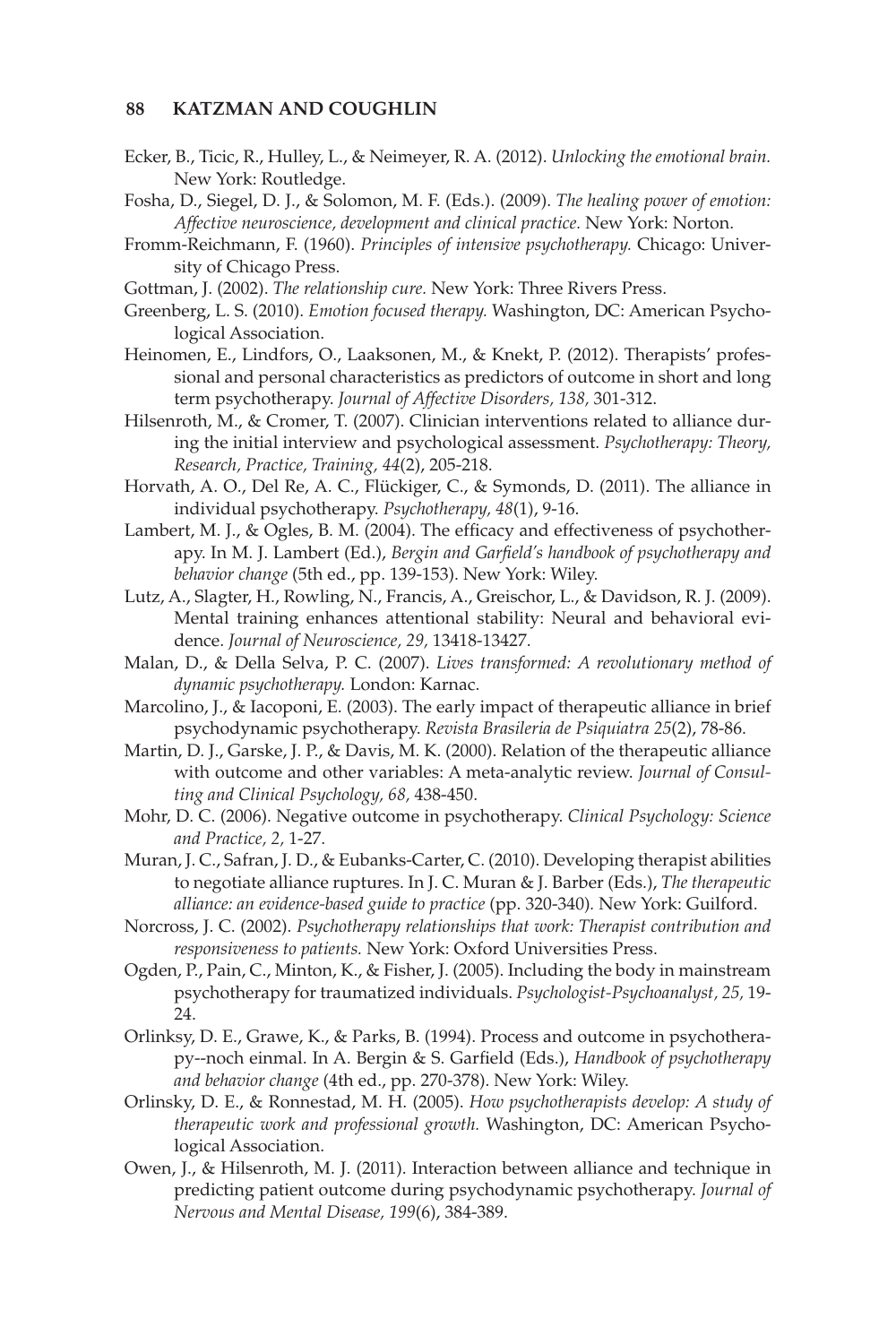- Ecker, B., Ticic, R., Hulley, L., & Neimeyer, R. A. (2012). *Unlocking the emotional brain.* New York: Routledge.
- Fosha, D., Siegel, D. J., & Solomon, M. F. (Eds.). (2009). *The healing power of emotion: Affective neuroscience, development and clinical practice.* New York: Norton.
- Fromm-Reichmann, F. (1960). *Principles of intensive psychotherapy.* Chicago: University of Chicago Press.
- Gottman, J. (2002). *The relationship cure.* New York: Three Rivers Press.
- Greenberg, L. S. (2010). *Emotion focused therapy.* Washington, DC: American Psychological Association.
- Heinomen, E., Lindfors, O., Laaksonen, M., & Knekt, P. (2012). Therapists' professional and personal characteristics as predictors of outcome in short and long term psychotherapy. *Journal of Affective Disorders, 138,* 301-312.
- Hilsenroth, M., & Cromer, T. (2007). Clinician interventions related to alliance during the initial interview and psychological assessment. *Psychotherapy: Theory, Research, Practice, Training, 44*(2), 205-218.
- Horvath, A. O., Del Re, A. C., Flückiger, C., & Symonds, D. (2011). The alliance in individual psychotherapy. *Psychotherapy, 48*(1), 9-16.
- Lambert, M. J., & Ogles, B. M. (2004). The efficacy and effectiveness of psychotherapy. In M. J. Lambert (Ed.), *Bergin and Garfield's handbook of psychotherapy and behavior change* (5th ed., pp. 139-153). New York: Wiley.
- Lutz, A., Slagter, H., Rowling, N., Francis, A., Greischor, L., & Davidson, R. J. (2009). Mental training enhances attentional stability: Neural and behavioral evidence. *Journal of Neuroscience, 29,* 13418-13427.
- Malan, D., & Della Selva, P. C. (2007). *Lives transformed: A revolutionary method of dynamic psychotherapy.* London: Karnac.
- Marcolino, J., & Iacoponi, E. (2003). The early impact of therapeutic alliance in brief psychodynamic psychotherapy. *Revista Brasileria de Psiquiatra 25*(2), 78-86.
- Martin, D. J., Garske, J. P., & Davis, M. K. (2000). Relation of the therapeutic alliance with outcome and other variables: A meta-analytic review. *Journal of Consulting and Clinical Psychology, 68,* 438-450.
- Mohr, D. C. (2006). Negative outcome in psychotherapy. *Clinical Psychology: Science and Practice, 2,* 1-27.
- Muran, J. C., Safran, J. D., & Eubanks-Carter, C. (2010). Developing therapist abilities to negotiate alliance ruptures. In J. C. Muran & J. Barber (Eds.), *The therapeutic alliance: an evidence-based guide to practice* (pp. 320-340)*.* New York: Guilford.
- Norcross, J. C. (2002). *Psychotherapy relationships that work: Therapist contribution and responsiveness to patients.* New York: Oxford Universities Press.
- Ogden, P., Pain, C., Minton, K., & Fisher, J. (2005). Including the body in mainstream psychotherapy for traumatized individuals. *Psychologist-Psychoanalyst, 25,* 19- 24.
- Orlinksy, D. E., Grawe, K., & Parks, B. (1994). Process and outcome in psychotherapy--noch einmal. In A. Bergin & S. Garfield (Eds.), *Handbook of psychotherapy and behavior change* (4th ed., pp. 270-378). New York: Wiley.
- Orlinsky, D. E., & Ronnestad, M. H. (2005). *How psychotherapists develop: A study of therapeutic work and professional growth.* Washington, DC: American Psychological Association.
- Owen, J., & Hilsenroth, M. J. (2011). Interaction between alliance and technique in predicting patient outcome during psychodynamic psychotherapy. *Journal of Nervous and Mental Disease, 199*(6), 384-389.